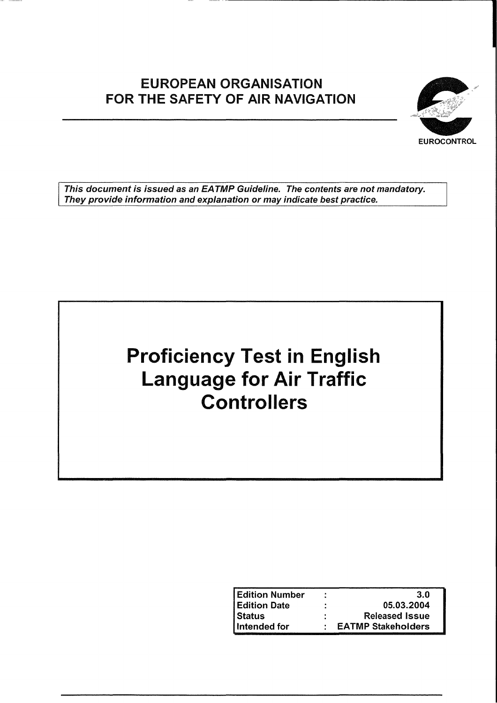# **EUROPEAN ORGANISATION FOR THE SAFETY OF AIR NAVIGATION**



*Thîs document is issued as an EATMP Guideline. The contents are not mandatory. They provide information and explanation or may indicate best practice.*\_\_\_\_\_\_\_\_\_

# **Proficiency Test in English Language for Air Traffic Controllers**

| <b>Edition Number</b> |        | 3.0                       |
|-----------------------|--------|---------------------------|
| <b>Edition Date</b>   |        | 05.03.2004                |
| <b>Status</b>         | ٠<br>٠ | <b>Released Issue</b>     |
| l Intended for        |        | <b>EATMP Stakeholders</b> |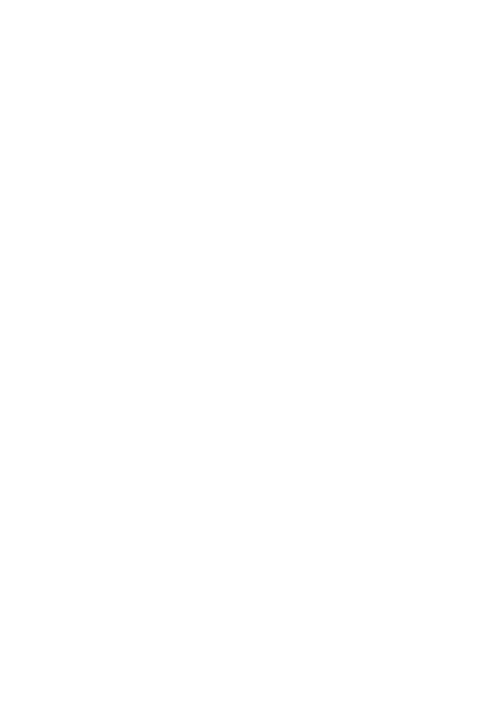# <span id="page-1-0"></span>**DOCUMENT CHARACTERISTICS**

| <b>Proficiency Test in English Language for Air Traffic</b><br><b>Controllers</b> |   |                                                                                                                                                                                                                                                                                                                                                                                                                                                                                                                         |                 |                                                   |                      |              |
|-----------------------------------------------------------------------------------|---|-------------------------------------------------------------------------------------------------------------------------------------------------------------------------------------------------------------------------------------------------------------------------------------------------------------------------------------------------------------------------------------------------------------------------------------------------------------------------------------------------------------------------|-----------------|---------------------------------------------------|----------------------|--------------|
|                                                                                   |   |                                                                                                                                                                                                                                                                                                                                                                                                                                                                                                                         |                 | <b>EATMP Infocentre Reference:</b>                |                      | 040201-03    |
| <b>Document Identifier</b>                                                        |   |                                                                                                                                                                                                                                                                                                                                                                                                                                                                                                                         |                 | <b>Edition Number:</b>                            |                      | 30           |
| HUM ET1 ST05 3000-GUI-01                                                          |   |                                                                                                                                                                                                                                                                                                                                                                                                                                                                                                                         |                 |                                                   | <b>Edition Date:</b> | 05 03 2004   |
|                                                                                   |   |                                                                                                                                                                                                                                                                                                                                                                                                                                                                                                                         | <b>Abstract</b> |                                                   |                      |              |
|                                                                                   |   | The Proficiency Test in English Language for Air Traffic Controllers (PELA Test) was developed in<br>recognition of the need for (student) air traffic controllers to demonstrate proficiency in English when<br>standard International Civil Aviation Organization (ICAO) Radiotelephony (R/T) phraseology proves<br>inadequate for effective aeronautical communication Completed in 1994, the PELA Test underwent<br>a period of evaluation in 1995-97 with almost three hundred student controllers from six States |                 |                                                   |                      |              |
| User Group Meeting in February 2001                                               |   | This edition describes the changes made to the PELA Test arising from comments made by the first                                                                                                                                                                                                                                                                                                                                                                                                                        |                 |                                                   |                      |              |
|                                                                                   |   | The PELA Test is fully compatible with the requirements of ICAO's Language Proficiency Standard -<br>Level 4, Operational (detailed in the Guideline to Annex 1, 'Personnel Licensing' [2004])                                                                                                                                                                                                                                                                                                                          |                 |                                                   |                      |              |
|                                                                                   |   | The actual deliverable is the PELA Test, available under conditions specified in a licence agreement<br>between EUROCONTROL and European Civil Aviation Conference (ECAC) Member States<br>However, a sample test can be freely consulted                                                                                                                                                                                                                                                                               |                 |                                                   |                      |              |
|                                                                                   |   | Keywords                                                                                                                                                                                                                                                                                                                                                                                                                                                                                                                |                 |                                                   |                      |              |
| Oral responses                                                                    |   | Interactive                                                                                                                                                                                                                                                                                                                                                                                                                                                                                                             |                 | Appropriacy                                       |                      | Trialling    |
| Listening                                                                         |   | Language proficiency                                                                                                                                                                                                                                                                                                                                                                                                                                                                                                    |                 | <b>Test validity</b>                              |                      | Interlocutor |
| Effective communication                                                           |   | Test security                                                                                                                                                                                                                                                                                                                                                                                                                                                                                                           |                 | Rater                                             |                      | Candidate    |
| <b>Contact Person</b>                                                             |   | Tel                                                                                                                                                                                                                                                                                                                                                                                                                                                                                                                     |                 | <b>Unit</b>                                       |                      |              |
| Adrian ENRIGHT                                                                    |   | +352-43 60 61 217                                                                                                                                                                                                                                                                                                                                                                                                                                                                                                       |                 | Training Development and Harmonisation (TDH) Unit |                      |              |
|                                                                                   |   |                                                                                                                                                                                                                                                                                                                                                                                                                                                                                                                         |                 |                                                   |                      |              |
|                                                                                   |   |                                                                                                                                                                                                                                                                                                                                                                                                                                                                                                                         |                 |                                                   |                      |              |
| <b>Status</b>                                                                     |   | Intended for                                                                                                                                                                                                                                                                                                                                                                                                                                                                                                            |                 |                                                   | Accessible via       |              |
| <b>Working Draft</b>                                                              | □ | <b>General Public</b>                                                                                                                                                                                                                                                                                                                                                                                                                                                                                                   | □               | Intranet                                          |                      | □            |
| Draft                                                                             | П | <b>EATMP Stakeholders</b>                                                                                                                                                                                                                                                                                                                                                                                                                                                                                               | ☑               | Extranet                                          |                      | П            |
| Proposed Issue                                                                    | □ | <b>Restricted Audience</b>                                                                                                                                                                                                                                                                                                                                                                                                                                                                                              | □               | Internet (www eurocontrol.int)                    |                      | ☑            |

|                    |                                              | <b>Contract Contract</b> |
|--------------------|----------------------------------------------|--------------------------|
| Path:              | G:\Deliverables\HUM Deliverable pdf Library\ |                          |
| <b>Host System</b> | <b>Software</b>                              | Size                     |
| Windows NT         | Microsoft Word 8 0b                          |                          |

Released Issue 0 *Pnnted & electromc copies ofthe document can be obtamed from the EATMP Infocentre (see page m)*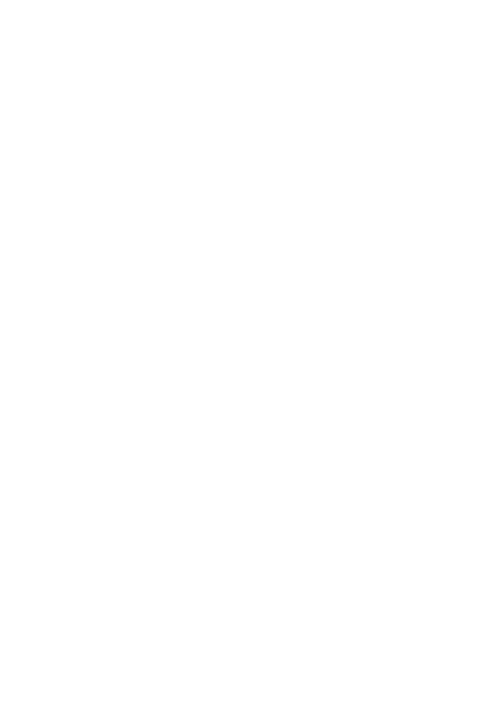# **DOCUMENT CHANGE RECORD**

The following table records the complete history of the successive editions of the present document

| 10             | 21 10 1996 |           | Released Issue of first edition                                                                                             | All |
|----------------|------------|-----------|-----------------------------------------------------------------------------------------------------------------------------|-----|
| 11             | 15 10 1997 |           | Revised first edition editorial changes, inclusion<br>of en-route version                                                   | All |
| 20             | 30 12 1999 |           | Released Issue of second edition                                                                                            | All |
| 2 <sub>1</sub> | 22 05.2003 |           | Draft of third edition changes to the PELA Test<br>layout and format                                                        | All |
| 22             | 17 11 2003 |           | Proposed Issue of third edition, for HRS-PSG<br>Meeting end of January 2004 document<br>configuration and editorial changes | All |
| 30             | 05 03 2004 | 040201-03 | Released Issue of third edition (agreed on<br>28-29 01 2004) final configuration adjustments                                | All |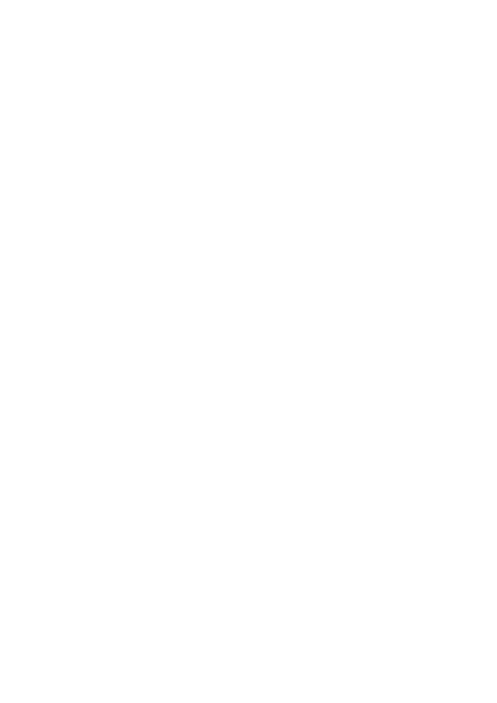# **CONTENTS**

|    | 1.             |                                                                                           |                                                                                            |                                                                                                                                                                                                                                                                                                                                                                                                                                                             |                                                                                                                                                                                                                                                                                                                                                                                                                                                             |                |
|----|----------------|-------------------------------------------------------------------------------------------|--------------------------------------------------------------------------------------------|-------------------------------------------------------------------------------------------------------------------------------------------------------------------------------------------------------------------------------------------------------------------------------------------------------------------------------------------------------------------------------------------------------------------------------------------------------------|-------------------------------------------------------------------------------------------------------------------------------------------------------------------------------------------------------------------------------------------------------------------------------------------------------------------------------------------------------------------------------------------------------------------------------------------------------------|----------------|
|    | 11             | PELA in Use                                                                               |                                                                                            | $\mathcal{L}(\mathcal{L}(\mathcal{L}(\mathcal{L}(\mathcal{L}(\mathcal{L}(\mathcal{L}(\mathcal{L}(\mathcal{L}(\mathcal{L}(\mathcal{L}(\mathcal{L}(\mathcal{L}(\mathcal{L}(\mathcal{L}(\mathcal{L}(\mathcal{L}(\mathcal{L}(\mathcal{L}(\mathcal{L}(\mathcal{L}(\mathcal{L}(\mathcal{L}(\mathcal{L}(\mathcal{L}(\mathcal{L}(\mathcal{L}(\mathcal{L}(\mathcal{L}(\mathcal{L}(\mathcal{L}(\mathcal{L}(\mathcal{L}(\mathcal{L}(\mathcal{L}(\mathcal{L}(\mathcal{$ | المستحدث والمتحدث                                                                                                                                                                                                                                                                                                                                                                                                                                           | -5             |
|    | 1.2            | Need for Development                                                                      |                                                                                            |                                                                                                                                                                                                                                                                                                                                                                                                                                                             |                                                                                                                                                                                                                                                                                                                                                                                                                                                             |                |
|    | 13             | Terms of Reference.                                                                       |                                                                                            |                                                                                                                                                                                                                                                                                                                                                                                                                                                             |                                                                                                                                                                                                                                                                                                                                                                                                                                                             |                |
|    |                |                                                                                           |                                                                                            |                                                                                                                                                                                                                                                                                                                                                                                                                                                             |                                                                                                                                                                                                                                                                                                                                                                                                                                                             |                |
| 2. |                |                                                                                           |                                                                                            |                                                                                                                                                                                                                                                                                                                                                                                                                                                             |                                                                                                                                                                                                                                                                                                                                                                                                                                                             |                |
|    |                |                                                                                           |                                                                                            |                                                                                                                                                                                                                                                                                                                                                                                                                                                             |                                                                                                                                                                                                                                                                                                                                                                                                                                                             |                |
|    | 21             | Aim of the PELA Test                                                                      |                                                                                            |                                                                                                                                                                                                                                                                                                                                                                                                                                                             | $\mathcal{L}(\mathcal{L}(\mathcal{L}(\mathcal{L}(\mathcal{L}(\mathcal{L}(\mathcal{L}(\mathcal{L}(\mathcal{L}(\mathcal{L}(\mathcal{L}(\mathcal{L}(\mathcal{L}(\mathcal{L}(\mathcal{L}(\mathcal{L}(\mathcal{L}(\mathcal{L}(\mathcal{L}(\mathcal{L}(\mathcal{L}(\mathcal{L}(\mathcal{L}(\mathcal{L}(\mathcal{L}(\mathcal{L}(\mathcal{L}(\mathcal{L}(\mathcal{L}(\mathcal{L}(\mathcal{L}(\mathcal{L}(\mathcal{L}(\mathcal{L}(\mathcal{L}(\mathcal{L}(\mathcal{$ | $\overline{7}$ |
|    | 2.2            | Ann of the FEEA Test<br>General English Requirements<br>English Language and ATC Training |                                                                                            |                                                                                                                                                                                                                                                                                                                                                                                                                                                             |                                                                                                                                                                                                                                                                                                                                                                                                                                                             | $\ldots 7$     |
|    | 23             |                                                                                           |                                                                                            |                                                                                                                                                                                                                                                                                                                                                                                                                                                             |                                                                                                                                                                                                                                                                                                                                                                                                                                                             |                |
| 3. |                |                                                                                           |                                                                                            |                                                                                                                                                                                                                                                                                                                                                                                                                                                             |                                                                                                                                                                                                                                                                                                                                                                                                                                                             |                |
|    |                |                                                                                           |                                                                                            |                                                                                                                                                                                                                                                                                                                                                                                                                                                             |                                                                                                                                                                                                                                                                                                                                                                                                                                                             |                |
|    | 3 <sub>1</sub> | The PELA Test Four Papers                                                                 |                                                                                            |                                                                                                                                                                                                                                                                                                                                                                                                                                                             |                                                                                                                                                                                                                                                                                                                                                                                                                                                             | .9             |
|    | 32             | Paper 1 - Listening                                                                       | $\sim 100$ km s $^{-1}$                                                                    |                                                                                                                                                                                                                                                                                                                                                                                                                                                             |                                                                                                                                                                                                                                                                                                                                                                                                                                                             | 9              |
|    | 33             | Paper 2 - Oral Responses                                                                  |                                                                                            |                                                                                                                                                                                                                                                                                                                                                                                                                                                             | $\mathbf{A}^{(i)}$ and $\mathbf{A}^{(i)}$ are $\mathbf{A}^{(i)}$ and $\mathbf{A}^{(i)}$ and $\mathbf{A}^{(i)}$                                                                                                                                                                                                                                                                                                                                              | $\overline{9}$ |
|    | 34             | Paper 3 - Oral Interaction                                                                |                                                                                            |                                                                                                                                                                                                                                                                                                                                                                                                                                                             |                                                                                                                                                                                                                                                                                                                                                                                                                                                             | 9              |
|    | 35             | Paper 4 - Reading (optional)                                                              | and the second control of the                                                              |                                                                                                                                                                                                                                                                                                                                                                                                                                                             |                                                                                                                                                                                                                                                                                                                                                                                                                                                             | .10            |
|    | 36             | Structure of the PELA Test                                                                |                                                                                            |                                                                                                                                                                                                                                                                                                                                                                                                                                                             |                                                                                                                                                                                                                                                                                                                                                                                                                                                             | 11             |
| 4. |                |                                                                                           |                                                                                            |                                                                                                                                                                                                                                                                                                                                                                                                                                                             |                                                                                                                                                                                                                                                                                                                                                                                                                                                             |                |
|    |                |                                                                                           |                                                                                            |                                                                                                                                                                                                                                                                                                                                                                                                                                                             |                                                                                                                                                                                                                                                                                                                                                                                                                                                             | .13            |
|    | 41             | Paper 1 - Listening<br>Paper 2 – Oral Responses                                           |                                                                                            |                                                                                                                                                                                                                                                                                                                                                                                                                                                             | <b>Contract Contract</b>                                                                                                                                                                                                                                                                                                                                                                                                                                    | 13             |
|    | 42             | Paper 3 - Oral Interaction                                                                | $\mathcal{L}_{\text{max}}$ and $\mathcal{L}_{\text{max}}$ . The $\mathcal{L}_{\text{max}}$ |                                                                                                                                                                                                                                                                                                                                                                                                                                                             |                                                                                                                                                                                                                                                                                                                                                                                                                                                             | 13             |
|    | 43<br>44       | Paper $4 -$ Reading (optional) $\cdots$                                                   |                                                                                            |                                                                                                                                                                                                                                                                                                                                                                                                                                                             |                                                                                                                                                                                                                                                                                                                                                                                                                                                             | 14             |
|    | 45             |                                                                                           |                                                                                            |                                                                                                                                                                                                                                                                                                                                                                                                                                                             |                                                                                                                                                                                                                                                                                                                                                                                                                                                             | .14            |
|    |                |                                                                                           |                                                                                            | $\mathcal{L}^{\text{max}}_{\text{max}}$ and $\mathcal{L}^{\text{max}}_{\text{max}}$                                                                                                                                                                                                                                                                                                                                                                         | $\sim 10^{-1}$                                                                                                                                                                                                                                                                                                                                                                                                                                              |                |
| 5. |                | ENGLISH LANGUAGE PERFORMANCE REQUIREMENTS                                                 |                                                                                            |                                                                                                                                                                                                                                                                                                                                                                                                                                                             |                                                                                                                                                                                                                                                                                                                                                                                                                                                             | 15             |
|    | 51             | <b>Effective Communication</b>                                                            | $\ldots$                                                                                   | the control of the control of the                                                                                                                                                                                                                                                                                                                                                                                                                           |                                                                                                                                                                                                                                                                                                                                                                                                                                                             | 15             |
|    |                |                                                                                           |                                                                                            |                                                                                                                                                                                                                                                                                                                                                                                                                                                             |                                                                                                                                                                                                                                                                                                                                                                                                                                                             |                |
| 6. |                |                                                                                           |                                                                                            |                                                                                                                                                                                                                                                                                                                                                                                                                                                             |                                                                                                                                                                                                                                                                                                                                                                                                                                                             | 17             |
|    | 61             | Paper 1 - Listening                                                                       | $\cdots$                                                                                   |                                                                                                                                                                                                                                                                                                                                                                                                                                                             |                                                                                                                                                                                                                                                                                                                                                                                                                                                             | 17             |
|    | 62             | Paper 2- Oral Responses, and Paper 3 - Oral Interaction                                   |                                                                                            |                                                                                                                                                                                                                                                                                                                                                                                                                                                             |                                                                                                                                                                                                                                                                                                                                                                                                                                                             | 17             |
|    | 63             | Paper 4 - Reading (optional)                                                              | $\mathbf{r}$                                                                               |                                                                                                                                                                                                                                                                                                                                                                                                                                                             |                                                                                                                                                                                                                                                                                                                                                                                                                                                             | 18             |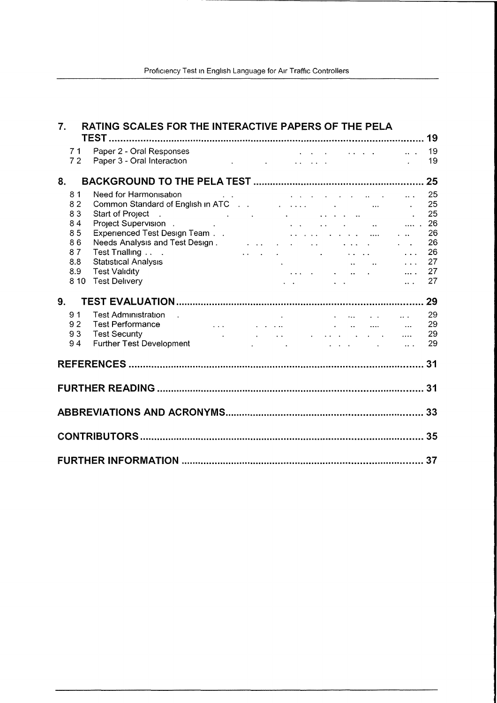|                                                      |                                                                                                                                                                               | Proficiency Test in English Language for Air Traffic Controllers                                                                                                                                                                                                                                                                                       |                                                                     |                                                    |
|------------------------------------------------------|-------------------------------------------------------------------------------------------------------------------------------------------------------------------------------|--------------------------------------------------------------------------------------------------------------------------------------------------------------------------------------------------------------------------------------------------------------------------------------------------------------------------------------------------------|---------------------------------------------------------------------|----------------------------------------------------|
| 7.<br>71<br>72                                       |                                                                                                                                                                               | RATING SCALES FOR THE INTERACTIVE PAPERS OF THE PELA<br>Paper 2 - Oral Responses<br>Paper 3 - Oral Interaction<br>19                                                                                                                                                                                                                                   |                                                                     |                                                    |
| 8.                                                   |                                                                                                                                                                               |                                                                                                                                                                                                                                                                                                                                                        |                                                                     |                                                    |
| 81<br>82<br>83<br>84<br>85<br>86<br>87<br>8.8<br>8.9 | Need for Harmonisation<br>Reeds Analysis and Test Design.<br>Test Trialling<br>Test Trialling<br>Statistical Analysis<br>Test Validity<br>Test Delivery<br>8 10 Test Delivery | المتعارف والمستقل والمتناول والمتعارف والمتناول والمتعارفات<br>Start of Project<br>Project Supervision<br>Experienced Test Design Team<br>. 26<br><b>Carl Carl Control</b><br><b>Contract Contract Contract</b><br>and the state of the state of<br>$\mathbf{v}^{\text{in}}$ , and $\mathbf{v}^{\text{in}}$ , and<br><b>Contract Contract Contract</b> | $\sim 100$<br><b><i>Contractor</i></b><br>$\mathbf{1}$ $\mathbf{1}$ | 25<br>25<br>25<br>26<br>26<br>26<br>27<br>27<br>27 |
| 9.<br>91<br>92<br>93<br>94                           | Test Security<br>Further Test Development                                                                                                                                     | Test Administration<br>Test Performance<br>Test Performance<br>Test Administration<br>$\mathcal{A}=\mathcal{A}(\mathcal{A})$ . The set of the set of $\mathcal{A}$<br>and the state of the state of the state of<br><b>Committee Committee</b>                                                                                                         |                                                                     | 29<br>29<br>29<br>29                               |
|                                                      |                                                                                                                                                                               |                                                                                                                                                                                                                                                                                                                                                        |                                                                     |                                                    |
|                                                      |                                                                                                                                                                               |                                                                                                                                                                                                                                                                                                                                                        |                                                                     |                                                    |
|                                                      |                                                                                                                                                                               |                                                                                                                                                                                                                                                                                                                                                        |                                                                     |                                                    |
|                                                      |                                                                                                                                                                               |                                                                                                                                                                                                                                                                                                                                                        |                                                                     |                                                    |
|                                                      |                                                                                                                                                                               |                                                                                                                                                                                                                                                                                                                                                        |                                                                     |                                                    |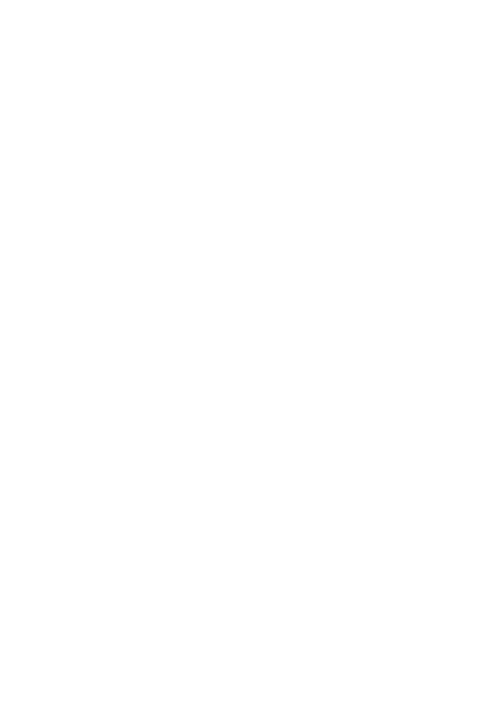# **SUPPORTING MATERIAL**

The deliverable HUM ET1 ST05-DEL05, 'Proficiency Test in English Language for Air Traffic Controllers', consists of the following material

- this guidance document, 'Proficiency Test in English Language for Air Traffic Controllers' (HUM ET1 ST05 3000-GUI-01), providing information about the PELA Test, and
- a number of annexes:
	- Annex 1 'PELA Test' (HUM ET1 ST05.3000-TST-01) Complete test version - restricted distribution.
	- Annex 2: 'Guidelines for Administrators of the PELA Test' (HUM.ET1 ST05 3000-GUI-02)
	- Annex 3 'Training Package for PELA Test Raters' (HUM ET1 ST05 3000-GUI-03) Restricted distribution.
	- Annex 4: 'Training Package for PELA Test Interlocutors' (HUM ET1.ST05.3000-GUI-04) Restricted distribution
	- Annex 5 'PELA Test Sample Version' (HUM.ET1 ST05.3000-EXP-01)
	- Annex 6: 'Report on the Evaluation Phase of the PELA Test' (HUM ET1 ST05.3000-REP-01 -EATCHIP, 1997 - T4).
- As explained in further detail in Section 8.3 of this document, between 1992 and 1999 Note the PELA work was adopted by the EATCHIP1 Programme and the above numbering was allocated to the PELA products. Since 1999 the project is being developed as part of the Training Sub-Programme of the EATM(P)<sup>1</sup> Human Resources Programme under Work Package number HRS/TSP-005 However, for simplification purposes the former EATCHIP reference system has been maintained Nevertheless, it is planned that some of the above-listed documents will be revised, the new HRS/TSP-005 numbering will be then allocated to those updated publications

All test and information materials are currently available in CD-ROM format using MS Word 97 SR-2 and Corel Draw 9 0 software.

Audio recordings of pilot and controller messages (on CD-ROM) accompany Annexes 1, 3, 4 and 5

<sup>&</sup>lt;sup>1</sup> In 1999 the 'European Air Traffic Control Harmonisation and Integration Programme (EATCHIP)' was renamed the 'European Air Traffic Management Programme (EATMP)' Today it is known as 'European Air Traffic Management (EATM)'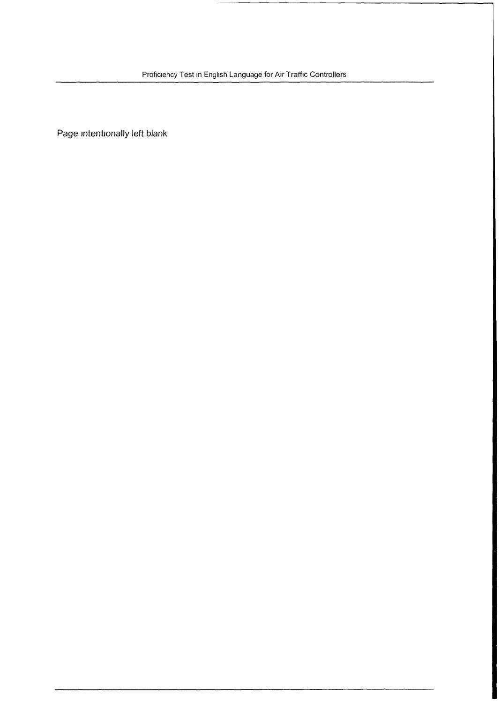Proficiency Test in English Language for Air Traffic Controllers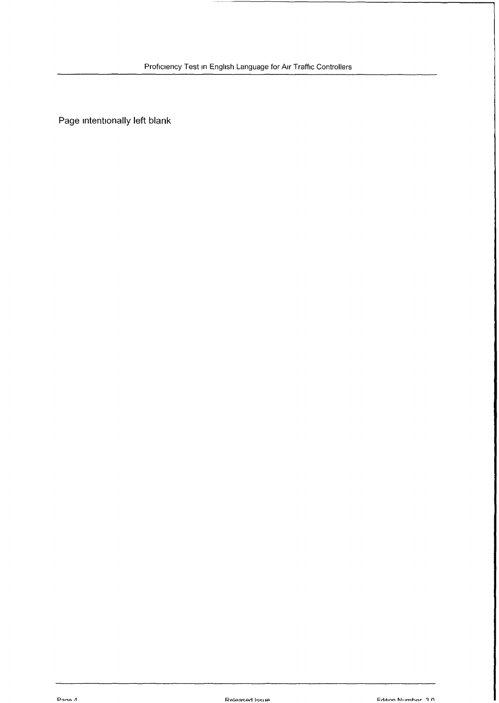Proficiency Test in English Language for Air Traffic Controllers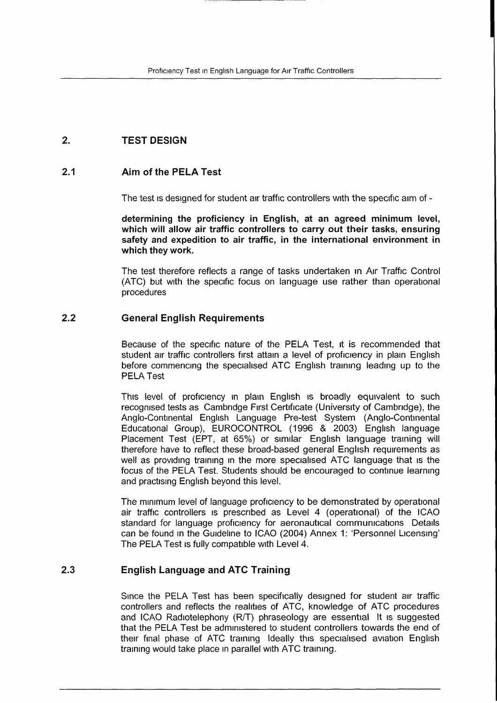# **2. TEST DESIGN**

# **2.1 Aim of the PELA Test**

<span id="page-12-0"></span>The test is designed for student air traffic controllers with the specific aim of -

**determining the proficiency in English, at an agreed minimum level, which will allow air traffic controllers to carry out their tasks, ensuring safety and expédition to air traffic, in the international environment in which they work.**

The test therefore reflects a range of tasks undertaken in Air Traffic Control (ATC) but with the specific focus on language use rather than operational procedures

# **2.2 General English Requirements**

<span id="page-12-1"></span>Because of the specific nature of the PELA Test, it is recommended that student air traffic controllers first attam a level of proficiency in plam English before commencmg the specialised ATC English traming leadmg up to the PELA Test

This level of proficiency in plam English is broadly équivalent to such recogmsed tests as Cambridge First Certificate (University of Cambridge), the Anglo-Continental English Language Pre-test System (Anglo-Continental Educational Group), EUROCONTROL (1996 & 2003) English language Placement Test (EPT, at 65%) or similar English language traming will therefore have to reflect these broad-based general English requirements as well as providmg traming m the more specialised ATC language that is the focus of the PELA Test. Students should be encouraged to continue learning and practismg English beyond this level.

The minimum level of language proficiency to be demonstrated by operational air traffic controllers is presenbed as Level 4 (operational) of the ICAO standard for language proficiency for aeronautical communications Details can be found in the Guidelme to ICAO (2004) Annex 1; 'Personnel Licensmg' The PELA Test is fully compatible with Level 4.

# **2.3 English Language and ATC Training**

<span id="page-12-2"></span>Smce the PELA Test has been specifically designed for student air traffic controllers and reflects the realities of ATC, knowledge of ATC procedures and ICAO Radiotelephony (R/T) phraseology are essential It is suggested that the PELA Test be admimstered to student controllers towards the end of their final phase of ATC traming Ideally this specialised aviation English traming would take place m parallel with ATC traming.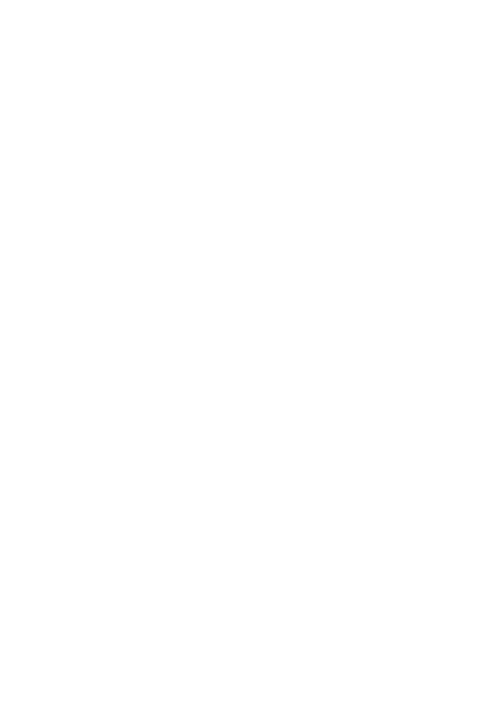<span id="page-14-4"></span><span id="page-14-3"></span><span id="page-14-2"></span><span id="page-14-1"></span><span id="page-14-0"></span>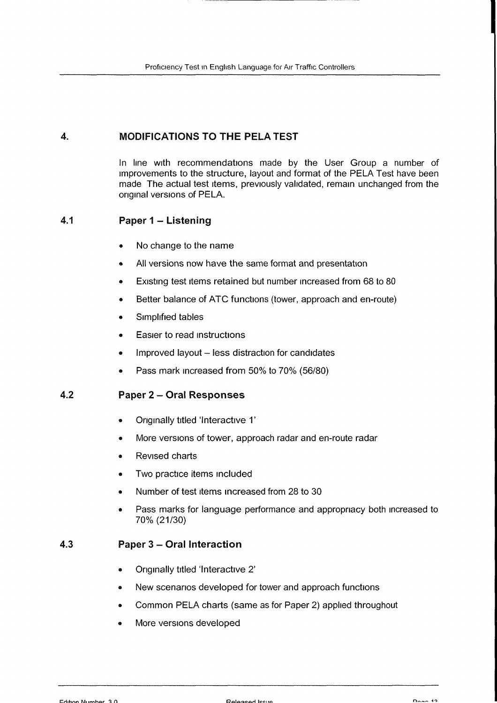#### <span id="page-18-0"></span>**MODIFICATIONS TO THE PELA TEST** 4.

In line with recommendations made by the User Group a number of improvements to the structure, layout and format of the PELA Test have been made The actual test items, previously validated, remain unchanged from the original versions of PELA.

#### $4.1$ Paper 1 - Listening

- No change to the name
- All versions now have the same format and presentation  $\bullet$
- $\bullet$ Existing test items retained but number increased from 68 to 80
- Better balance of ATC functions (tower, approach and en-route)  $\bullet$
- Simplified tables  $\bullet$
- Easier to read instructions  $\bullet$
- Improved layout less distraction for candidates  $\bullet$
- Pass mark increased from 50% to 70% (56/80)

#### <span id="page-18-1"></span> $4.2$ **Paper 2 - Oral Responses**

- Originally titled 'Interactive 1'  $\bullet$
- More versions of tower, approach radar and en-route radar  $\bullet$
- Revised charts  $\bullet$
- Two practice items included  $\bullet$
- Number of test items increased from 28 to 30
- Pass marks for language performance and appropriacy both increased to 70% (21/30)

#### <span id="page-18-2"></span>4.3 Paper 3 - Oral Interaction

- Originally titled 'Interactive 2'  $\bullet$
- New scenarios developed for tower and approach functions  $\bullet$
- Common PELA charts (same as for Paper 2) applied throughout
- More versions developed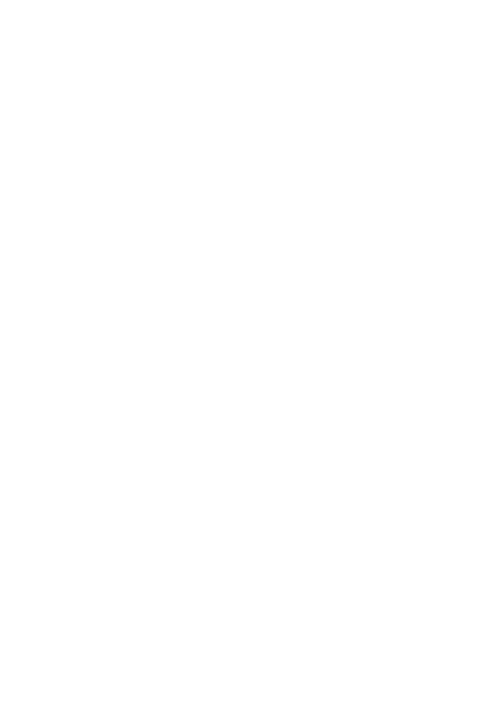<span id="page-20-0"></span>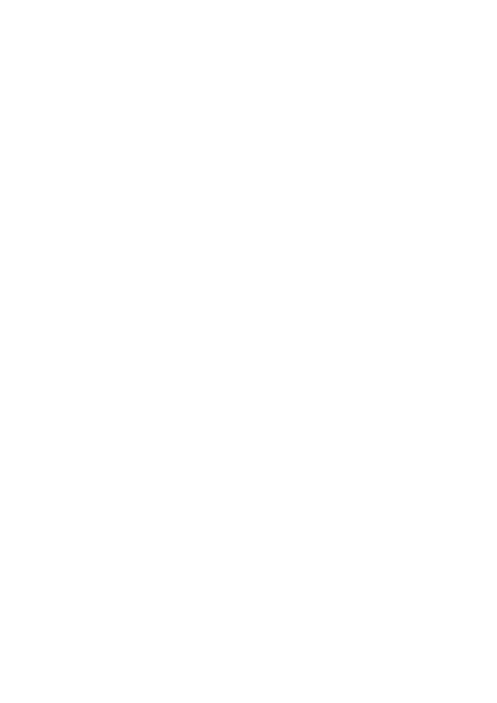#### 6. **SPECIFIC TEST OBJECTIVES**

In order to meet or exceed the English language performance requirements of the PELA Test, candidates must demonstrate ability in the following set of specific test objectives

#### $6.1$ Paper 1 - Listening

The candidate should be able to understand communications between pilotcontroller and between controller-controller in which the pilot or controller:

- reads back and/or acknowledges a controller message,
- requests approval or clearance,  $\bullet$
- $\bullet$ gives information,
- requests information,
- gives/requests reasons,
- requests the controller to do something,
- checks, confirms and clarifies,
- gives/denies approval and clearance (controller only)

The candidate should be able to:

recognise the communicative function of messages with and without explicit indicators. (For example, is the message an instruction, a request or a query?)

#### $6.2$ Paper 2- Oral Responses, and Paper 3 - Oral Interaction

In simulated interactions between pilots and controllers, the candidate should be able to:

- give instructions,  $\bullet$
- give information,
- request information,
- give/deny approval and clearance,
- give/request reasons,
- check, confirm and clarify.

The candidate should also be able to understand messages in which the pilot:

- reads back and/or acknowledges controller message,
- $\bullet$ requests approval or clearance;
- gives information,
- requests information;  $\bullet$
- gives/requests reasons;
- requests the controller to do something;
- checks, confirms and clarifies,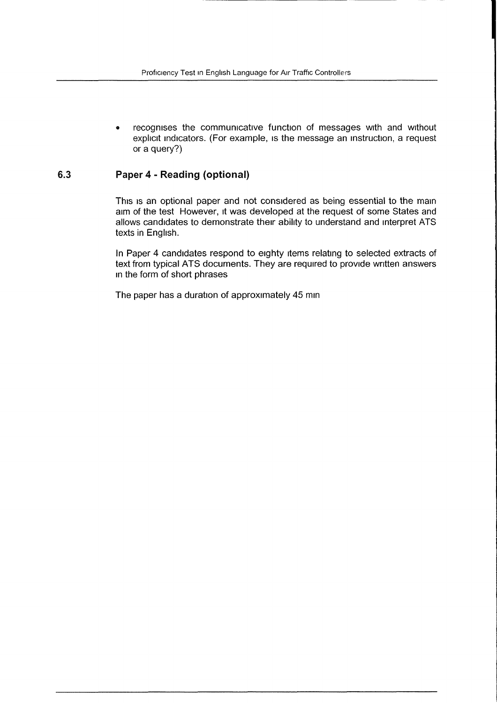<span id="page-23-0"></span>recognises the communicative function of messages with and without  $\bullet$ explicit indicators. (For example, is the message an instruction, a request or a query?)

#### 6.3 Paper 4 - Reading (optional)

This is an optional paper and not considered as being essential to the main aim of the test However, it was developed at the request of some States and allows candidates to demonstrate their ability to understand and interpret ATS texts in English.

In Paper 4 candidates respond to eighty items relating to selected extracts of text from typical ATS documents. They are required to provide written answers in the form of short phrases

The paper has a duration of approximately 45 min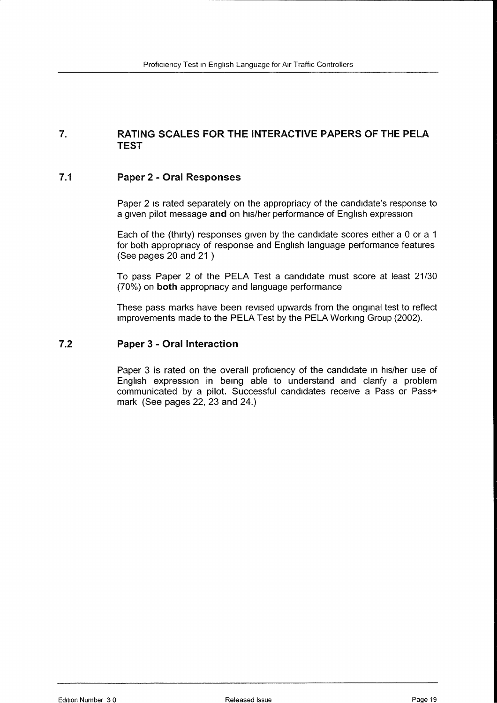# <span id="page-24-0"></span>**7. RATING SCALES FOR THE INTERACTIVE PAPERS OF THE PELA TEST**

# **7.1 Paper 2 - Oral Responses**

Paper 2 is rated separately on the appropriacy of the candidate's response to a given pilot message and on his/her performance of English expression

Each of the (thirty) responses given by the candidate scores either a 0 or a <sup>1</sup> for both appropriacy of response and Enghsh language performance features (See pages 20 and 21 )

To pass Paper 2 of the PELA Test a candidate must score at least 21/30 (70%) on **both** appropriacy and language performance

These pass marks have been revised upwards from the original test to reflect improvements made to the PELA Test by the PELA Workmg Group (2002).

# **7.2 Paper 3 - Oral Interaction**

Paper 3 is rated on the overall proficiency of the candidate in his/her use of Enghsh expression in bemg able to understand and clanfy a problem communicated by a pilot. Successful candidates receive a Pass or Pass+ mark (See pages 22, 23 and 24.)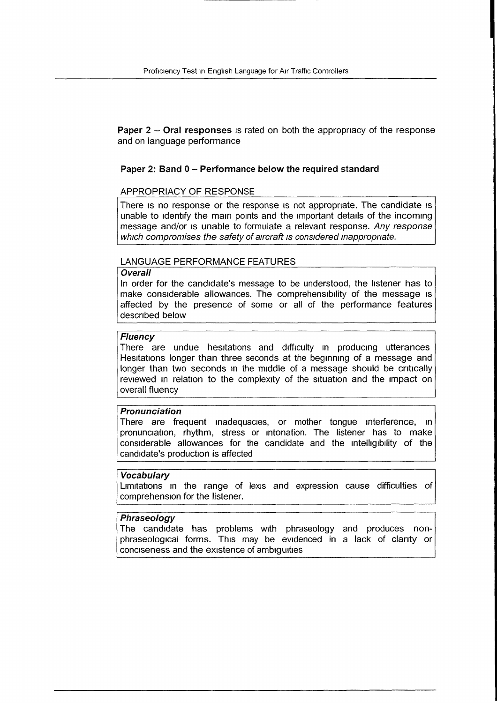**Paper <sup>2</sup> - Oral responses** is rated on both the appropnacy of the response and on language performance

#### **Paper 2: Band <sup>0</sup> - Performance below the required standard**

#### APPROPRIACY OF RESPONSE

There is no response or the response is not appropnate. The candidate is unable to identify the main points and the important details of the incoming message and/or is unable to formulate a relevant response. Any response which compromises the safety of aircraft is considered inappropriate.

#### LANGUAGE PERFORMANCE FEATURES

#### *Overall*

In order for the candidate's message to be understood, the listener bas to make considerable allowances. The comprehensibility of the message is affected by the presence of some or ail of the performance features described below

### *Fluency*

There are undue hesitations and difficulty in producing utterances Hesitations longer than three seconds at the beginning of a message and longer than two seconds in the middle of a message should be cntically reviewed m relation to the complexity of the situation and the impact on overall fluency

#### *Prononciation*

There are frequent inadequacies, or mother tongue interference, in pronunciation, rhythm, stress or intonation. The listener has to make considérable allowances for the candidate and the mtelligibility of the candidate's production is affected

#### *Vocabulary*

Limitations in the range of lexis and expression cause difficulties of compréhension for the listener.

#### *Phraseoiogy*

The candidate has problems with phraseoiogy and produces nonphraseological forms. This may be evidenced in a lack of clanty or conciseness and the existence of ambiguities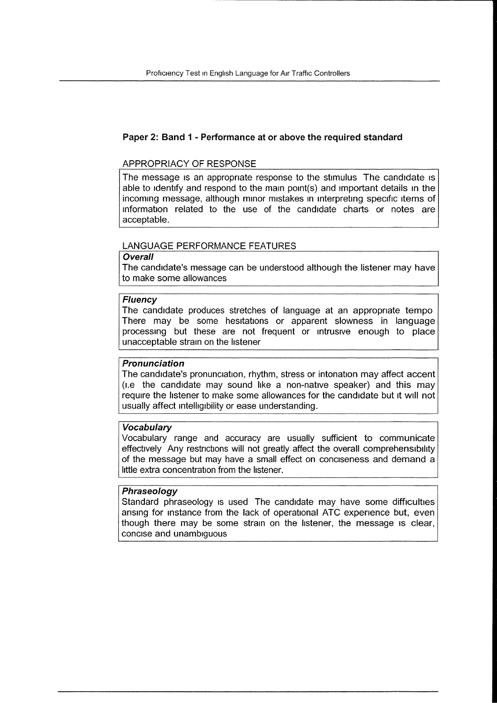## Paper 2: Band 1 - Performance at or above the required standard

### APPROPRIACY OF RESPONSE

The message is an appropnate response to the stimulus The candidate is able to identify and respond to the main pomt(s) and important details in the incoming message, although minor mistakes in interpreting specific items of information related to the use of the candidate charts or notes are acceptable.

#### LANGUAGE PERFORMANCE FEATURES

#### *Overall*

The candidate's message can be understood although the listener may have to make some allowances

#### *Fluency*

The candidate produces stretches of language at an appropnate tempo There may be some hésitations or apparent slowness in language Processing but these are not frequent or intrusive enough to place unacceptable stram on the listener

#### *Pronunciation*

The candidate's pronunciation, rhythm, stress or intonation may affect accent (i.e the candidate may sound hke a non-native speaker) and this may require the listener to make some allowances for the candidate but it will not usually affect mtelligibility or ease understanding.

#### *Vocabulary*

Vocabulary range and accuracy are usually sufficient to communicate effectively Any restrictions will not greatly affect the overall comprehensibility of the message but may have a small effect on conciseness and demand a little extra concentration from the listener.

## *Phraseology*

Standard phraseology is used The candidate may have some difficulties arising for instance from the lack of operational ATC experience but, even though there may be some stram on the listener, the message is clear, concise and unambiguous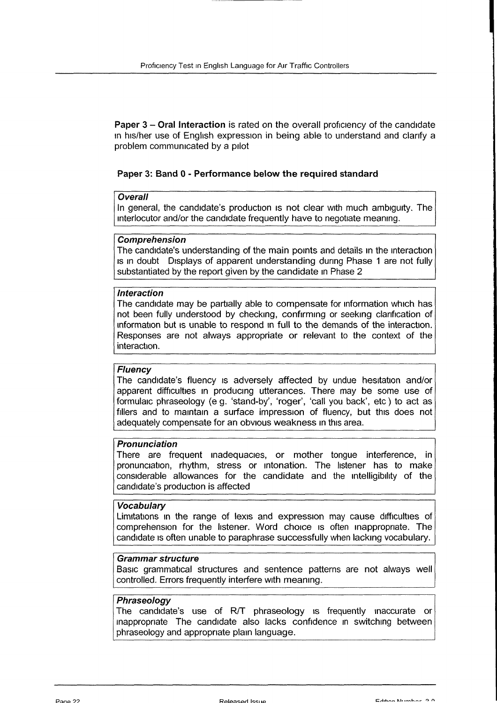Paper 3 - Oral Interaction is rated on the overall proficiency of the candidate in his/her use of Enghsh expression in being able to understand and clanfy a problem commumcated by a pilot

# Paper 3: Band 0 - Performance below the required standard

## *Overall*

In general, the candidate's production is not clear with much ambiguity. The interlocutor and/or the candidate frequently have to negotiate meaning.

# *Compréhension*

The candidate's understanding of the main points and details in the interaction is m doubt Displays of apparent understanding dunng Phase <sup>1</sup> are not fully substantiated by the report given by the candidate in Phase 2

## *Interaction*

The candidate may be partially able to compensate for information which has not been fully understood by checkmg, confirmmg or seekmg clarification of information but is unable to respond in full to the demands of the interaction. Responses are not always appropriate or relevant to the context of the interaction.

# *Fluency*

The candidate's fluency is adversely affected by undue hésitation and/or apparent difficulties in producing utterances. There may be some use of formulaic phraseology (e.g. 'stand-by', 'roger', 'call you back', etc) to act as fillers and to maintain a surface impression of fluency, but this does not adequately compensate for an obvious weakness m this area.

### *Pronunciation*

There are frequent inadequacies, or mother tongue interference, in pronunciation, rhythm, stress or intonation. The listener has to make considérable allowances for the candidate and the mtelligibility of the candidate's production is affected

## *Vocabulary*

Limitations in the range of lexis and expression may cause difficulties of compréhension for the listener. Word choice is often mappropnate. The candidate is often unable to paraphrase successfully when lackmg vocabulary.

### *Grammar structure*

Basic grammatical structures and sentence patterns are not always well controlled. Errors frequently interfere with meaning.

### *Phraseology*

The candidate's use of R/T phraseology is frequently maccurate or mappropnate The candidate also lacks confidence m switchmg between phraseology and appropriate plam language.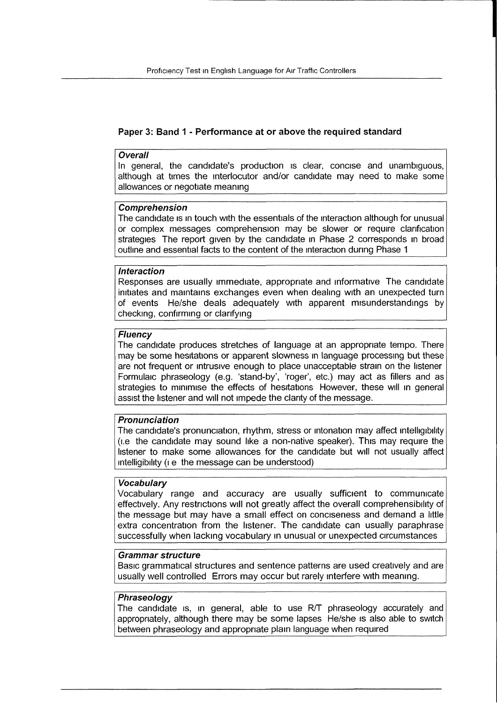## **Paper 3: Band <sup>1</sup> - Performance at or above the required standard**

#### *Overall*

In general, the candidate's production is clear, concise and unambiguous, although at times the interlocutor and/or candidate may need to make some allowances or negotiate meanmg

#### *Compréhension*

The candidate is in touch with the essentials of the interaction although for unusual or complex messages compréhension may be slower or require clarification strategies The report given by the candidate in Phase 2 corresponds m broad outline and essential facts to the content of the interaction during Phase 1

## *Interaction*

Responses are usually immediate, appropriate and informative The candidate initiates and maintains exchanges even when dealing with an unexpected turn of events He/she deals adequately with apparent misunderstandmgs by checkmg, confirmmg or clanfying

#### *Fluency*

The candidate produces stretches of language at an appropnate tempo. There may be some hesitations or apparent slowness in language processing but these are not frequent or intrusive enough to place unacceptable stram on the listener Formulaic phraseology (e.g. 'stand-by', 'roger', etc.) may act as fillers and as strategies to minimise the effects of hesitations However, these will in general assist the listener and will not impede the clanty of the message.

### *Prononciation*

The candidate's pronunciation, rhythm, stress or intonation may affect intelligibility (i.e the candidate may Sound like a non-native speaker). This may require the hstener to make some allowances for the candidate but will not usually affect mtelligibihty (i e the message can be understood)

#### *Vocabulary*

Vocabulary range and accuracy are usually sufficient to commumcate effectively. Any restrictions will not greatly affect the overall comprehensibihty of the message but may have a small effect on conciseness and demand a little extra concentration from the listener. The candidate can usually paraphrase successfully when lacking vocabulary in unusual or unexpected circumstances

## *Grammar structure*

Basic grammatical structures and sentence patterns are used creatively and are usually well controlled Errors may occur but rarely mterfere with meanmg.

#### *Phraseology*

The candidate is, in general, able to use R/T phraseology accurately and appropriately, although there may be some lapses He/she is also able to switch between phraseology and appropnate plam language when required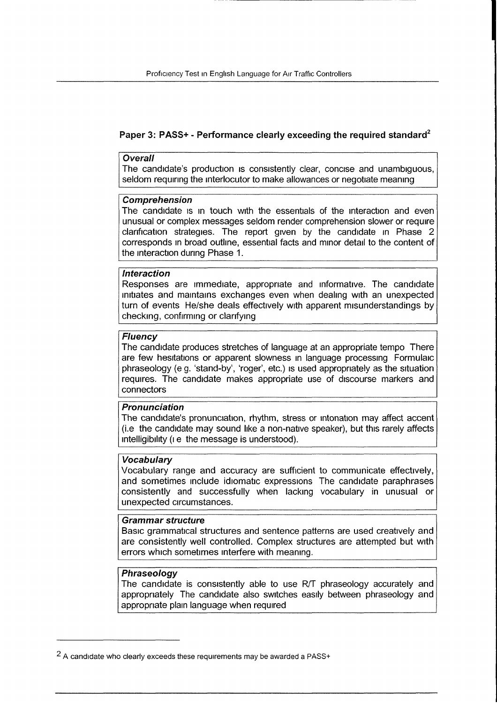## **Paper 3: PASS+ - Performance clearly exceeding the required standard2**

#### *Overall*

The candidate's production is consistently clear, concise and unambiguous, seldom requiring the interlocutor to make allowances or negotiate meaning

## *Compréhension*

The candidate is in touch with the essentials of the interaction and even unusual or complex messages seldom render compréhension slower or require clarification strategies. The report given by the candidate in Phase 2 corresponds in broad outline, essential facts and minor detail to the content of the interaction dunng Phase 1.

## *Interaction*

Responses are immediate, appropriate and informative. The candidate initiâtes and mamtams exchanges even when dealmg with an unexpected turn of events He/she deals effectively with apparent misunderstandings by checkmg, confirmmg or clanfying

#### *Fluency*

The candidate produces stretches of language at an appropriate tempo There are few hesitations or apparent slowness in language processing Formulaic phraseology (e.g. 'stand-by', 'roger', etc.) is used appropriately as the situation requires. The candidate makes appropriate use of discourse markers and connectors

#### *Pronunciation*

The candidate's pronunciation, rhythm, stress or intonation may affect accent (i.e the candidate may sound like a non-native speaker), but this rarely affects mtelligibility (i e the message is understood).

## *Vocabulary*

Vocabulary range and accuracy are sufficient to communicate effectively, and sometimes mclude idiomatic expressions The candidate paraphrases consistently and successfully when lackmg vocabulary in unusual or unexpected circumstances.

#### *Grammar structure*

Basic grammatical structures and sentence patterns are used creatively and are consistently well controlled. Complex structures are attempted but with errors which sometimes interfere with meaning.

#### *Phraseology*

The candidate is consistently able to use R/T phraseology accurately and appropnately The candidate also switches easily between phraseology and appropriate plam language when required

 $2$  A candidate who clearly exceeds these requirements may be awarded a PASS+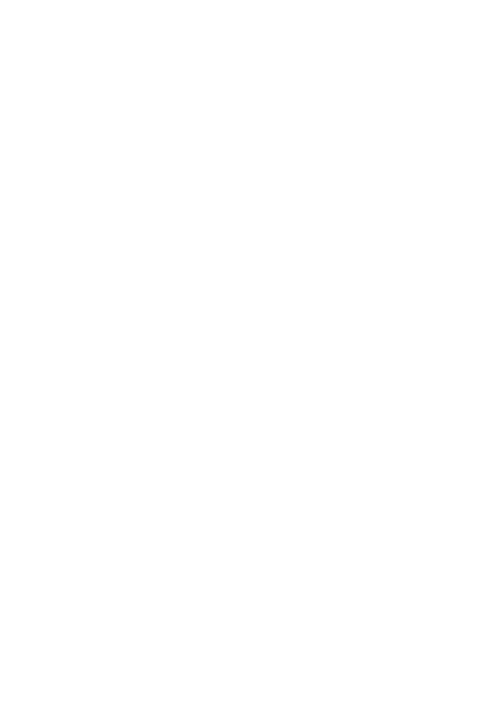#### 8. **BACKGROUND TO THE PELA TEST**

#### $8.1$ **Need for Harmonisation**

It is generally acknowledged that for a number of reasons - historical, cultural and political - the level of English language among the air traffic controllers of Europe varies greatly With the requirement for the harmonisation of air traffic services in Europe and with the knowledge that nowhere is communication more critical and misunderstanding potentially so disastrous than in ATC, the need to define a minimum proficiency in English language for ATC is recognised as being of great importance

#### $8.2$ **Common Standard of English in ATC**

The concept, for a common standard of English among air traffic controllers, was developed at the first English Language workshop held at the EUROCONTROL Institute of Air Navigation Services (IANS), Luxembourg in June 1988. This workshop concluded that controllers should achieve a pre-determined, minimum level of knowledge and skills in the English language - especially listening, pronunciation and comprehension - to enable them to carry out their tasks in such a manner as to contribute positively to the safety of air traffic. This concept has recently been reinforced by the proposed changes to ICAO (2003) Annex 10, whereby the English language shall be available for aeronautical communication in designated international airspace and at designated international airports (ICAO State Letter 31.05 2002 refers).

#### 8.3 **Start of Project**

In September 1988 EUROCONTROL's Training Working Group (TWG) encouraged IANS to commence work on the development of appropriate tests. In 1990 the Project Supervision Team (PST) was established to monitor and guide test development Because of its unique experience in English language testing and administration the British Council was contracted, in January 1992, to design a suitable test.

Shortly after this, in February 1992, the project was adopted by EATCHIP<sup>3</sup> as part of the Specialist Task (ST) dealing with the Specification of Training and Institutional Training (ST05 3000) integrated within the Work Programme (V30) of the Human Resources Domain (Today the PELA Project is being developed within the Training Sub-Programme (TSP) of the EATM<sup>3</sup> Human Resources Programme (HRS) under Work Package number HRS/TSP-005.)

<sup>&</sup>lt;sup>3</sup> In 1999 the 'European Air Traffic Control Harmonisation and Integration Programme (EATCHIP)' was renamed the 'European Air Traffic Management Programme (EATMP)' Today it is known as 'European Air Traffic Management (EATM)'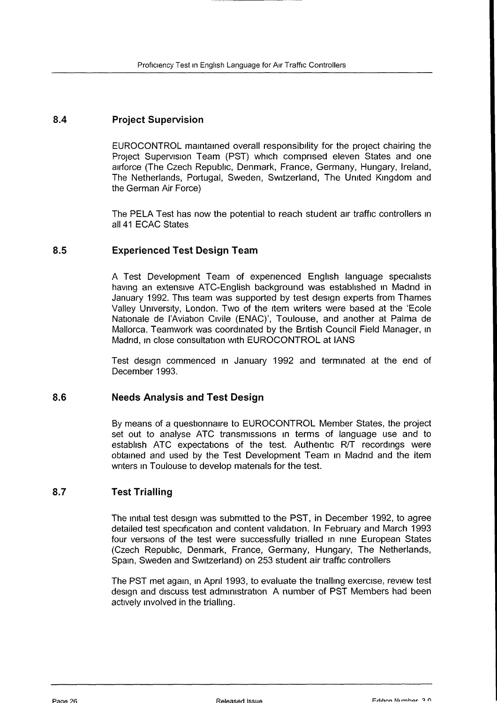# <span id="page-31-0"></span>**8.4 Project Supervision**

EUROCONTROL mamtamed overall responsibility for the project chairing the Project Supervision Team (PST) which comprised eleven States and one airforce (The Czech Republie, Denmark, France, Germany, Hungary, Ireland, The Netherlands, Portugal, Sweden, Switzerland, The United Kmgdom and the German Air Force)

The PELA Test has now the potential to reach student air traffic controllers m ail 41 ECAC States

# **8.5 Experienced Test Design Team**

A Test Development Team of experienced English language specialists having an extensive ATC-English background was estabhshed in Madrid in January 1992. This team was supported by test design experts from Thames Valley Umversity, London. Two of the item writers were based at the 'Ecole Nationale de l'Aviation Civile (ENAC)', Toulouse, and another at Palma de Mallorca. Teamwork was coordinated by the British Council Field Manager, in Madrid, m close consultation with EUROCONTROL at IANS

Test design commenced m January 1992 and termmated at the end of December 1993.

# <span id="page-31-1"></span>**8.6 Needs Analysis and Test Design**

By means of a questionnaire to EUROCONTROL Member States, the project set out to analyse ATC transmissions m terms of language use and to establish ATC expectations of the test. Authentic R/T recordmgs were obtamed and used by the Test Development Team m Madrid and the item writers m Toulouse to develop matenals for the test.

# **8.7 Test Trialling**

The initial test design was submitted to the PST, in December 1992, to agree detailed test specification and content validation. In February and March 1993 four versions of the test were successfully trialled m mne European States (Czech Republie, Denmark, France, Germany, Hungary, The Netherlands, Spam, Sweden and Switzerland) on 253 student air traffic controllers

The PST met agam, m Apnl 1993, to evaluate the trialling exercise, review test design and discuss test administration A number of PST Members had been actively mvolved in the trialling.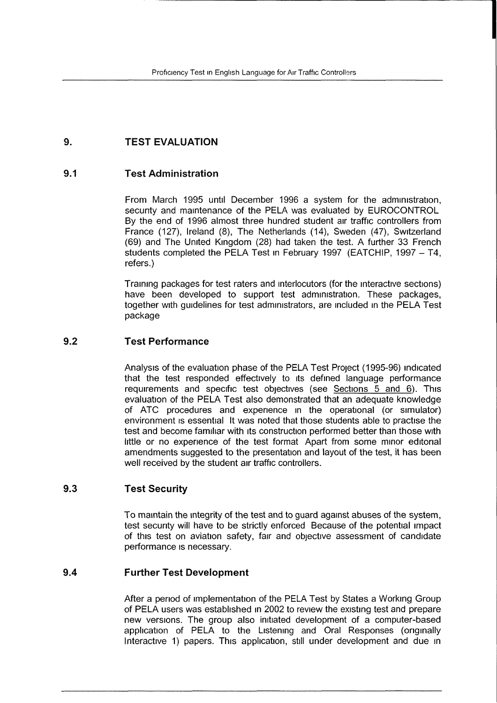# <span id="page-34-0"></span>**9. TEST EVALUATION**

# <span id="page-34-1"></span>**9.1 Test Administration**

From March 1995 until December 1996 a System for the administration, security and maintenance of the PELA was evaluated by EUROCONTROL By the end of 1996 almost three hundred student air traffic controllers from France (127), Ireland (8), The Netherlands (14), Sweden (47), Switzerland (69) and The United Kmgdom (28) had taken the test. A further 33 French students completed the PELA Test in February 1997 (EATCHIP, 1997 - T4, refers.)

Traming packages for test raters and mterlocutors (for the interactive sections) have been developed to support test administration. These packages, together with guidelines for test admmistrators, are mcluded m the PELA Test package

# <span id="page-34-2"></span>**9.2 Test Performance**

Analysis of the évaluation phase of the PELA Test Project (1995-96) mdicated that the test responded effectively to its defmed language performance requirements and specific test objectives (see Sections 5 and 6). This évaluation of the PELA Test also demonstrated that an adéquate knowledge of ATC procedures and expenence in the operational (or simulator) environment is essential It was noted that those students able to practise the test and become famihar with its construction performed better than those with little or no expenence of the test format Apart from some mmor éditorial amendments suggested to the presentation and layout of the test, it has been well received by the student air traffic controllers.

# **9.3 Test Security**

To mamtain the mtegrity of the test and to guard agamst abuses of the System, test security will have to be strictly enforced Because of the potential impact of this test on aviation safety, fair and objective assessment of candidate performance is necessary.

# **9.4 Further Test Development**

After a period of implementation of the PELA Test by States a Working Group of PELA users was established in 2002 to review the existing test and prepare new versions. The group also imtiated development of a computer-based application of PELA to the Listenmg and Oral Responses (ongmally Interactive 1) papers. This application, still under development and due in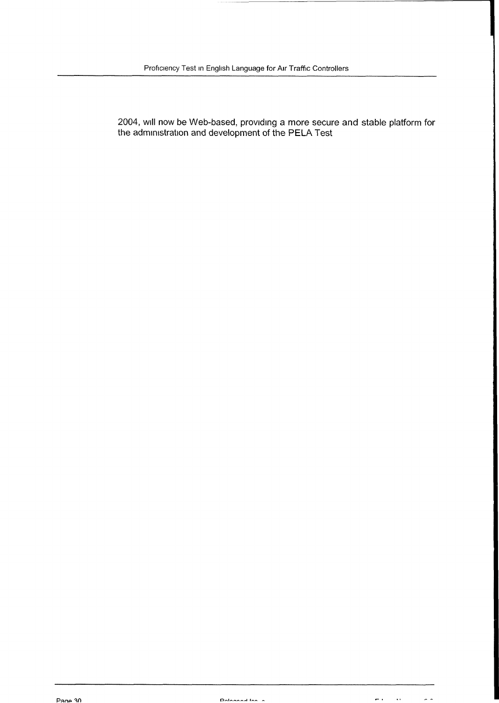Proficiency Test in English Language for Air Traffic Controllers

2004, will now be Web-based, providing a more secure and stable platform for the administration and development of the PELA Test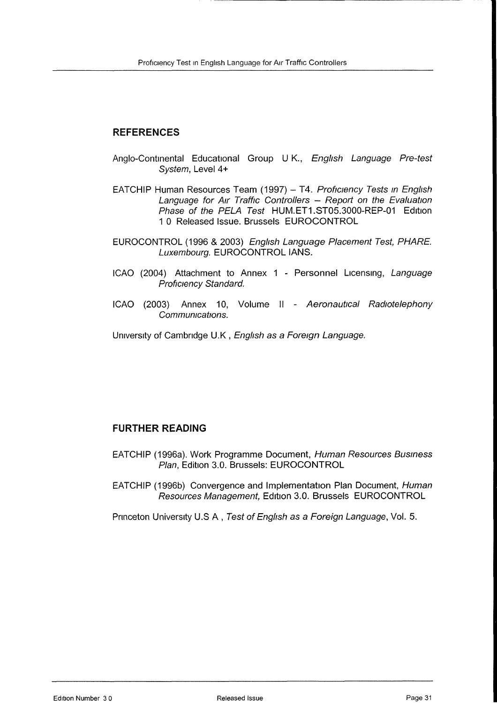# **REFERENCES**

- Anglo-Continental Educational Group U K., *English Language Pre-test System,* Level 4+
- EATCHIP Human Resources Team (1997) T4. *Proficiency Tests in English Language for Air Traffic Controllers* — *Report on the Evaluation Phase of the PELA Test* HUM.ET1.ST05.3000-REP-01 Edition <sup>1</sup> 0 Released Issue. Brussels EUROCONTROL
- EUROCONTROL (1996 & 2003) *English Language Placement Test, PHARE. Luxembourg.* EUROCONTROL IANS.
- ICAO (2004) Attachment to Annex <sup>1</sup> Personnel Licensmg, *Language Proficiency Standard.*
- ICAO (2003) Annex 10, Volume II *Aeronautical Radiotelephony Communications.*

Umversity of Cambridge U.K , *English as a Foreign Language.*

# **FURTHER READING**

- EATCHIP (1996a). Work Programme Document, *Human Resources Business Plan,* Edition 3.0. Brussels: EUROCONTROL
- EATCHIP (1996b) Convergence and Implémentation Plan Document, *Human Resources Management,* Edition 3.0. Brussels EUROCONTROL

Princeton University U.S A , *Test of English as a Foreign Language,* Vol. 5.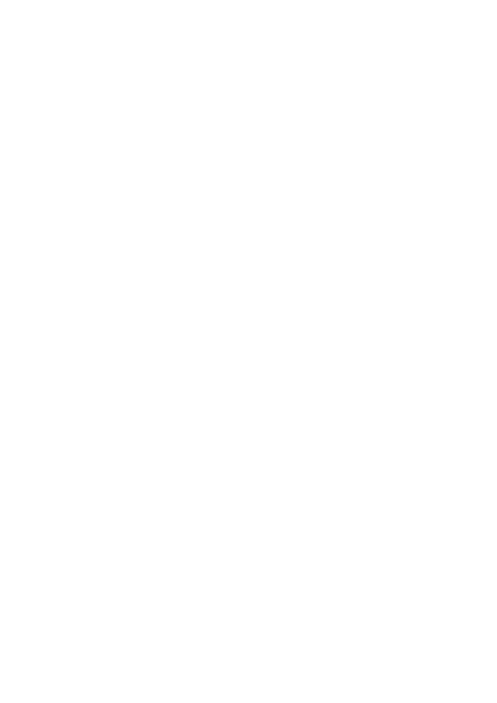<span id="page-38-0"></span>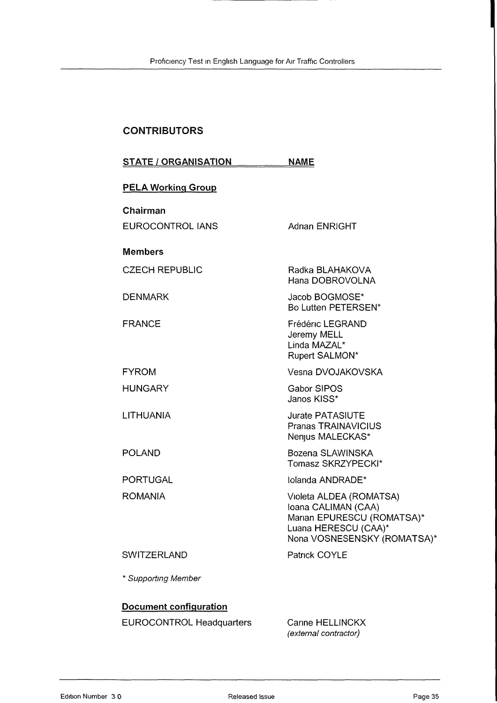# **CONTRIBUTORS**

#### **STATE / ORGANISATION NAME**

## **PELA Working Group**

Chairman **EUROCONTROL IANS** 

# **Members**

**CZECH REPUBLIC** 

**DENMARK** 

**FRANCE** 

# **FYROM**

**HUNGARY** 

LITHUANIA

**POLAND** 

**PORTUGAL** 

**ROMANIA** 

Radka BLAHAKOVA Hana DOBROVOLNA

Adrian ENRIGHT

Jacob BOGMOSE\* Bo Lutten PETERSEN\*

Frédéric LEGRAND Jeremy MELL Linda MAZAL\* Rupert SALMON\*

Vesna DVOJAKOVSKA

Gabor SIPOS Janos KISS\*

Jurate PATASIUTE Pranas TRAINAVICIUS Nerijus MALECKAS\*

Bozena SLAWINSKA Tomasz SKRZYPECKI\*

Iolanda ANDRADE\*

Violeta ALDEA (ROMATSA) Ioana CALIMAN (CAA) Marian EPURESCU (ROMATSA)\* Luana HERESCU (CAA)\* Nona VOSNESENSKY (ROMATSA)\*

### SWITZERLAND

Patrick COYLE

\* Supporting Member

# **Document configuration**

**EUROCONTROL Headquarters** 

Carine HELLINCKX (external contractor)